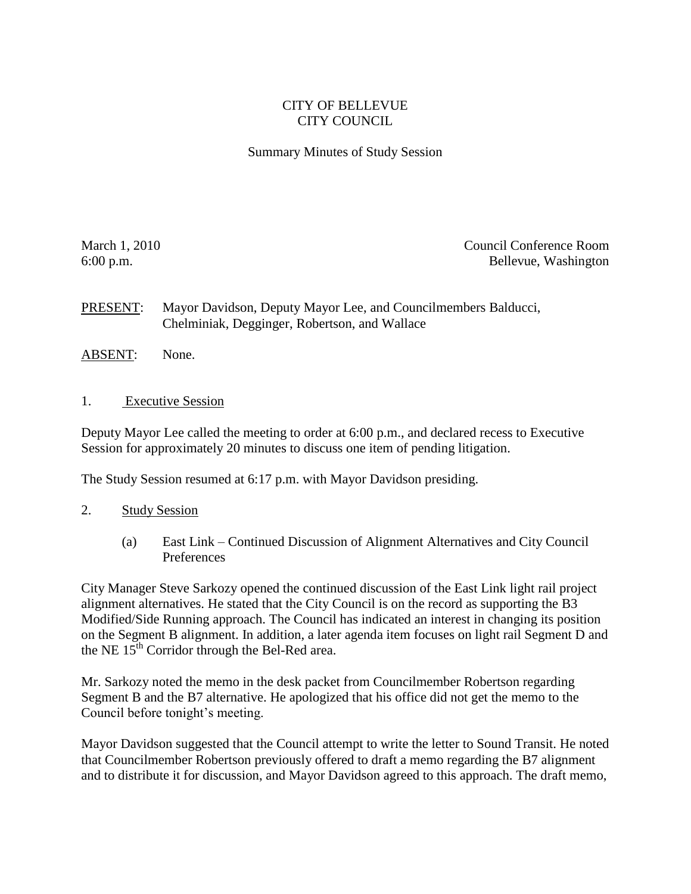## CITY OF BELLEVUE CITY COUNCIL

## Summary Minutes of Study Session

March 1, 2010 **Council Conference Room** Council Conference Room 6:00 p.m. Bellevue, Washington

PRESENT: Mayor Davidson, Deputy Mayor Lee, and Councilmembers Balducci, Chelminiak, Degginger, Robertson, and Wallace

- ABSENT: None.
- 1. Executive Session

Deputy Mayor Lee called the meeting to order at 6:00 p.m., and declared recess to Executive Session for approximately 20 minutes to discuss one item of pending litigation.

The Study Session resumed at 6:17 p.m. with Mayor Davidson presiding.

- 2. Study Session
	- (a) East Link Continued Discussion of Alignment Alternatives and City Council Preferences

City Manager Steve Sarkozy opened the continued discussion of the East Link light rail project alignment alternatives. He stated that the City Council is on the record as supporting the B3 Modified/Side Running approach. The Council has indicated an interest in changing its position on the Segment B alignment. In addition, a later agenda item focuses on light rail Segment D and the NE 15<sup>th</sup> Corridor through the Bel-Red area.

Mr. Sarkozy noted the memo in the desk packet from Councilmember Robertson regarding Segment B and the B7 alternative. He apologized that his office did not get the memo to the Council before tonight's meeting.

Mayor Davidson suggested that the Council attempt to write the letter to Sound Transit. He noted that Councilmember Robertson previously offered to draft a memo regarding the B7 alignment and to distribute it for discussion, and Mayor Davidson agreed to this approach. The draft memo,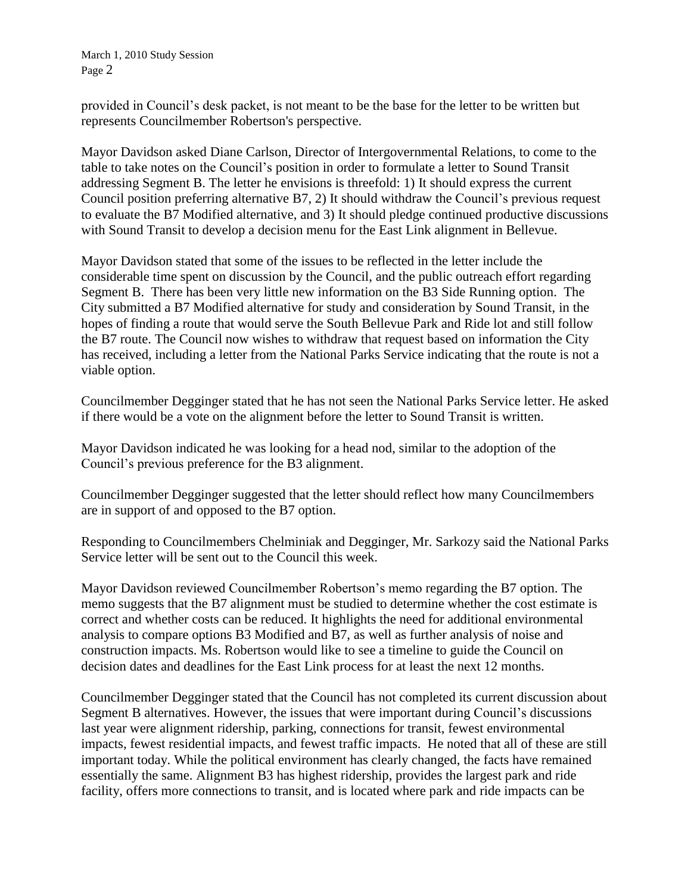provided in Council's desk packet, is not meant to be the base for the letter to be written but represents Councilmember Robertson's perspective.

Mayor Davidson asked Diane Carlson, Director of Intergovernmental Relations, to come to the table to take notes on the Council's position in order to formulate a letter to Sound Transit addressing Segment B. The letter he envisions is threefold: 1) It should express the current Council position preferring alternative B7, 2) It should withdraw the Council's previous request to evaluate the B7 Modified alternative, and 3) It should pledge continued productive discussions with Sound Transit to develop a decision menu for the East Link alignment in Bellevue.

Mayor Davidson stated that some of the issues to be reflected in the letter include the considerable time spent on discussion by the Council, and the public outreach effort regarding Segment B. There has been very little new information on the B3 Side Running option. The City submitted a B7 Modified alternative for study and consideration by Sound Transit, in the hopes of finding a route that would serve the South Bellevue Park and Ride lot and still follow the B7 route. The Council now wishes to withdraw that request based on information the City has received, including a letter from the National Parks Service indicating that the route is not a viable option.

Councilmember Degginger stated that he has not seen the National Parks Service letter. He asked if there would be a vote on the alignment before the letter to Sound Transit is written.

Mayor Davidson indicated he was looking for a head nod, similar to the adoption of the Council's previous preference for the B3 alignment.

Councilmember Degginger suggested that the letter should reflect how many Councilmembers are in support of and opposed to the B7 option.

Responding to Councilmembers Chelminiak and Degginger, Mr. Sarkozy said the National Parks Service letter will be sent out to the Council this week.

Mayor Davidson reviewed Councilmember Robertson's memo regarding the B7 option. The memo suggests that the B7 alignment must be studied to determine whether the cost estimate is correct and whether costs can be reduced. It highlights the need for additional environmental analysis to compare options B3 Modified and B7, as well as further analysis of noise and construction impacts. Ms. Robertson would like to see a timeline to guide the Council on decision dates and deadlines for the East Link process for at least the next 12 months.

Councilmember Degginger stated that the Council has not completed its current discussion about Segment B alternatives. However, the issues that were important during Council's discussions last year were alignment ridership, parking, connections for transit, fewest environmental impacts, fewest residential impacts, and fewest traffic impacts. He noted that all of these are still important today. While the political environment has clearly changed, the facts have remained essentially the same. Alignment B3 has highest ridership, provides the largest park and ride facility, offers more connections to transit, and is located where park and ride impacts can be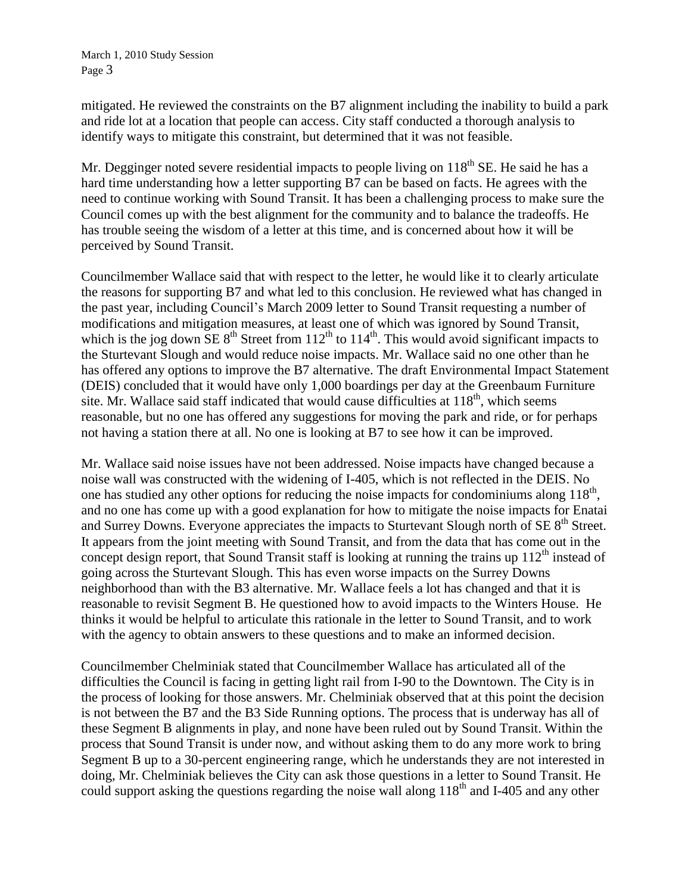mitigated. He reviewed the constraints on the B7 alignment including the inability to build a park and ride lot at a location that people can access. City staff conducted a thorough analysis to identify ways to mitigate this constraint, but determined that it was not feasible.

Mr. Degginger noted severe residential impacts to people living on  $118<sup>th</sup>$  SE. He said he has a hard time understanding how a letter supporting B7 can be based on facts. He agrees with the need to continue working with Sound Transit. It has been a challenging process to make sure the Council comes up with the best alignment for the community and to balance the tradeoffs. He has trouble seeing the wisdom of a letter at this time, and is concerned about how it will be perceived by Sound Transit.

Councilmember Wallace said that with respect to the letter, he would like it to clearly articulate the reasons for supporting B7 and what led to this conclusion. He reviewed what has changed in the past year, including Council's March 2009 letter to Sound Transit requesting a number of modifications and mitigation measures, at least one of which was ignored by Sound Transit, which is the jog down SE  $8<sup>th</sup>$  Street from  $112<sup>th</sup>$  to  $114<sup>th</sup>$ . This would avoid significant impacts to the Sturtevant Slough and would reduce noise impacts. Mr. Wallace said no one other than he has offered any options to improve the B7 alternative. The draft Environmental Impact Statement (DEIS) concluded that it would have only 1,000 boardings per day at the Greenbaum Furniture site. Mr. Wallace said staff indicated that would cause difficulties at  $118<sup>th</sup>$ , which seems reasonable, but no one has offered any suggestions for moving the park and ride, or for perhaps not having a station there at all. No one is looking at B7 to see how it can be improved.

Mr. Wallace said noise issues have not been addressed. Noise impacts have changed because a noise wall was constructed with the widening of I-405, which is not reflected in the DEIS. No one has studied any other options for reducing the noise impacts for condominiums along  $118<sup>th</sup>$ , and no one has come up with a good explanation for how to mitigate the noise impacts for Enatai and Surrey Downs. Everyone appreciates the impacts to Sturtevant Slough north of  $SE 8<sup>th</sup>$  Street. It appears from the joint meeting with Sound Transit, and from the data that has come out in the concept design report, that Sound Transit staff is looking at running the trains up  $112<sup>th</sup>$  instead of going across the Sturtevant Slough. This has even worse impacts on the Surrey Downs neighborhood than with the B3 alternative. Mr. Wallace feels a lot has changed and that it is reasonable to revisit Segment B. He questioned how to avoid impacts to the Winters House. He thinks it would be helpful to articulate this rationale in the letter to Sound Transit, and to work with the agency to obtain answers to these questions and to make an informed decision.

Councilmember Chelminiak stated that Councilmember Wallace has articulated all of the difficulties the Council is facing in getting light rail from I-90 to the Downtown. The City is in the process of looking for those answers. Mr. Chelminiak observed that at this point the decision is not between the B7 and the B3 Side Running options. The process that is underway has all of these Segment B alignments in play, and none have been ruled out by Sound Transit. Within the process that Sound Transit is under now, and without asking them to do any more work to bring Segment B up to a 30-percent engineering range, which he understands they are not interested in doing, Mr. Chelminiak believes the City can ask those questions in a letter to Sound Transit. He could support asking the questions regarding the noise wall along  $118<sup>th</sup>$  and I-405 and any other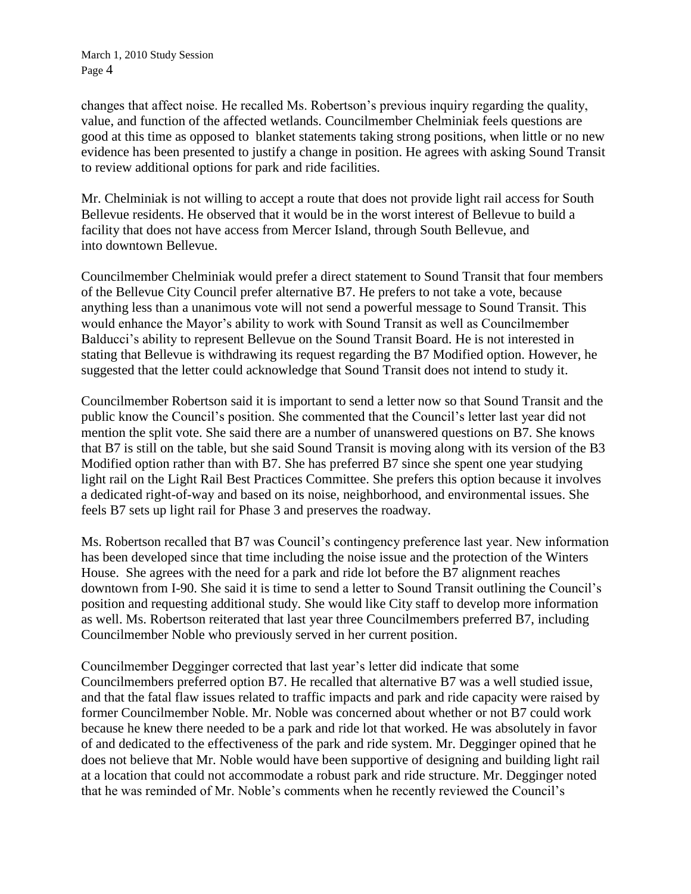changes that affect noise. He recalled Ms. Robertson's previous inquiry regarding the quality, value, and function of the affected wetlands. Councilmember Chelminiak feels questions are good at this time as opposed to blanket statements taking strong positions, when little or no new evidence has been presented to justify a change in position. He agrees with asking Sound Transit to review additional options for park and ride facilities.

Mr. Chelminiak is not willing to accept a route that does not provide light rail access for South Bellevue residents. He observed that it would be in the worst interest of Bellevue to build a facility that does not have access from Mercer Island, through South Bellevue, and into downtown Bellevue.

Councilmember Chelminiak would prefer a direct statement to Sound Transit that four members of the Bellevue City Council prefer alternative B7. He prefers to not take a vote, because anything less than a unanimous vote will not send a powerful message to Sound Transit. This would enhance the Mayor's ability to work with Sound Transit as well as Councilmember Balducci's ability to represent Bellevue on the Sound Transit Board. He is not interested in stating that Bellevue is withdrawing its request regarding the B7 Modified option. However, he suggested that the letter could acknowledge that Sound Transit does not intend to study it.

Councilmember Robertson said it is important to send a letter now so that Sound Transit and the public know the Council's position. She commented that the Council's letter last year did not mention the split vote. She said there are a number of unanswered questions on B7. She knows that B7 is still on the table, but she said Sound Transit is moving along with its version of the B3 Modified option rather than with B7. She has preferred B7 since she spent one year studying light rail on the Light Rail Best Practices Committee. She prefers this option because it involves a dedicated right-of-way and based on its noise, neighborhood, and environmental issues. She feels B7 sets up light rail for Phase 3 and preserves the roadway.

Ms. Robertson recalled that B7 was Council's contingency preference last year. New information has been developed since that time including the noise issue and the protection of the Winters House. She agrees with the need for a park and ride lot before the B7 alignment reaches downtown from I-90. She said it is time to send a letter to Sound Transit outlining the Council's position and requesting additional study. She would like City staff to develop more information as well. Ms. Robertson reiterated that last year three Councilmembers preferred B7, including Councilmember Noble who previously served in her current position.

Councilmember Degginger corrected that last year's letter did indicate that some Councilmembers preferred option B7. He recalled that alternative B7 was a well studied issue, and that the fatal flaw issues related to traffic impacts and park and ride capacity were raised by former Councilmember Noble. Mr. Noble was concerned about whether or not B7 could work because he knew there needed to be a park and ride lot that worked. He was absolutely in favor of and dedicated to the effectiveness of the park and ride system. Mr. Degginger opined that he does not believe that Mr. Noble would have been supportive of designing and building light rail at a location that could not accommodate a robust park and ride structure. Mr. Degginger noted that he was reminded of Mr. Noble's comments when he recently reviewed the Council's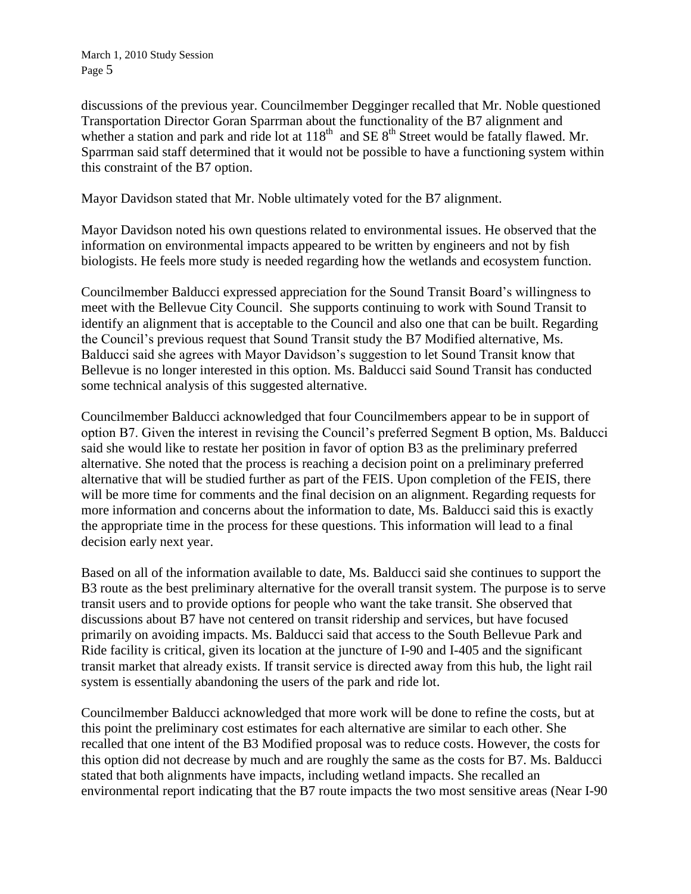discussions of the previous year. Councilmember Degginger recalled that Mr. Noble questioned Transportation Director Goran Sparrman about the functionality of the B7 alignment and whether a station and park and ride lot at  $118<sup>th</sup>$  and SE  $8<sup>th</sup>$  Street would be fatally flawed. Mr. Sparrman said staff determined that it would not be possible to have a functioning system within this constraint of the B7 option.

Mayor Davidson stated that Mr. Noble ultimately voted for the B7 alignment.

Mayor Davidson noted his own questions related to environmental issues. He observed that the information on environmental impacts appeared to be written by engineers and not by fish biologists. He feels more study is needed regarding how the wetlands and ecosystem function.

Councilmember Balducci expressed appreciation for the Sound Transit Board's willingness to meet with the Bellevue City Council. She supports continuing to work with Sound Transit to identify an alignment that is acceptable to the Council and also one that can be built. Regarding the Council's previous request that Sound Transit study the B7 Modified alternative, Ms. Balducci said she agrees with Mayor Davidson's suggestion to let Sound Transit know that Bellevue is no longer interested in this option. Ms. Balducci said Sound Transit has conducted some technical analysis of this suggested alternative.

Councilmember Balducci acknowledged that four Councilmembers appear to be in support of option B7. Given the interest in revising the Council's preferred Segment B option, Ms. Balducci said she would like to restate her position in favor of option B3 as the preliminary preferred alternative. She noted that the process is reaching a decision point on a preliminary preferred alternative that will be studied further as part of the FEIS. Upon completion of the FEIS, there will be more time for comments and the final decision on an alignment. Regarding requests for more information and concerns about the information to date, Ms. Balducci said this is exactly the appropriate time in the process for these questions. This information will lead to a final decision early next year.

Based on all of the information available to date, Ms. Balducci said she continues to support the B3 route as the best preliminary alternative for the overall transit system. The purpose is to serve transit users and to provide options for people who want the take transit. She observed that discussions about B7 have not centered on transit ridership and services, but have focused primarily on avoiding impacts. Ms. Balducci said that access to the South Bellevue Park and Ride facility is critical, given its location at the juncture of I-90 and I-405 and the significant transit market that already exists. If transit service is directed away from this hub, the light rail system is essentially abandoning the users of the park and ride lot.

Councilmember Balducci acknowledged that more work will be done to refine the costs, but at this point the preliminary cost estimates for each alternative are similar to each other. She recalled that one intent of the B3 Modified proposal was to reduce costs. However, the costs for this option did not decrease by much and are roughly the same as the costs for B7. Ms. Balducci stated that both alignments have impacts, including wetland impacts. She recalled an environmental report indicating that the B7 route impacts the two most sensitive areas (Near I-90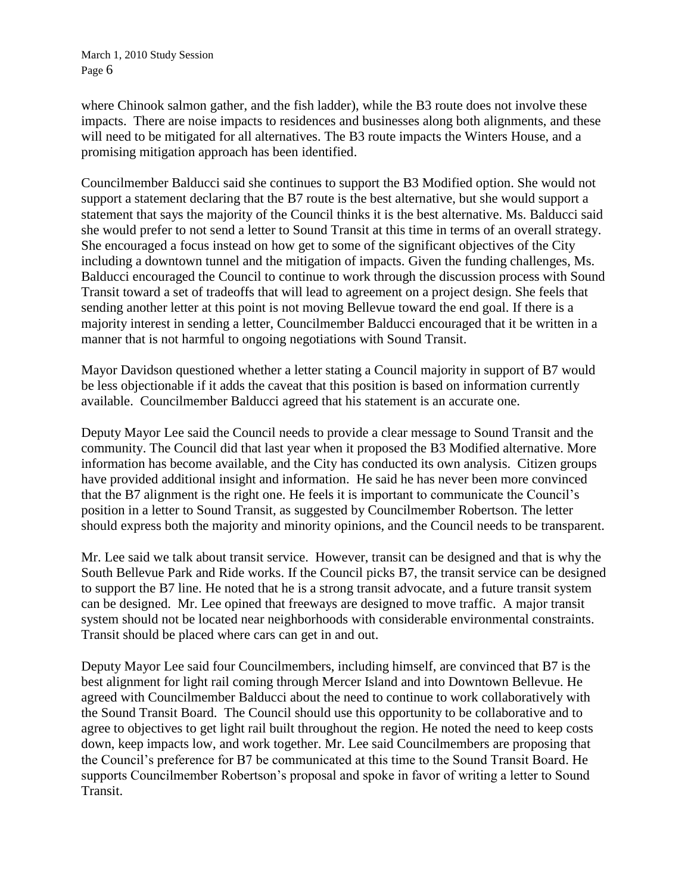where Chinook salmon gather, and the fish ladder), while the B3 route does not involve these impacts. There are noise impacts to residences and businesses along both alignments, and these will need to be mitigated for all alternatives. The B3 route impacts the Winters House, and a promising mitigation approach has been identified.

Councilmember Balducci said she continues to support the B3 Modified option. She would not support a statement declaring that the B7 route is the best alternative, but she would support a statement that says the majority of the Council thinks it is the best alternative. Ms. Balducci said she would prefer to not send a letter to Sound Transit at this time in terms of an overall strategy. She encouraged a focus instead on how get to some of the significant objectives of the City including a downtown tunnel and the mitigation of impacts. Given the funding challenges, Ms. Balducci encouraged the Council to continue to work through the discussion process with Sound Transit toward a set of tradeoffs that will lead to agreement on a project design. She feels that sending another letter at this point is not moving Bellevue toward the end goal. If there is a majority interest in sending a letter, Councilmember Balducci encouraged that it be written in a manner that is not harmful to ongoing negotiations with Sound Transit.

Mayor Davidson questioned whether a letter stating a Council majority in support of B7 would be less objectionable if it adds the caveat that this position is based on information currently available. Councilmember Balducci agreed that his statement is an accurate one.

Deputy Mayor Lee said the Council needs to provide a clear message to Sound Transit and the community. The Council did that last year when it proposed the B3 Modified alternative. More information has become available, and the City has conducted its own analysis. Citizen groups have provided additional insight and information. He said he has never been more convinced that the B7 alignment is the right one. He feels it is important to communicate the Council's position in a letter to Sound Transit, as suggested by Councilmember Robertson. The letter should express both the majority and minority opinions, and the Council needs to be transparent.

Mr. Lee said we talk about transit service. However, transit can be designed and that is why the South Bellevue Park and Ride works. If the Council picks B7, the transit service can be designed to support the B7 line. He noted that he is a strong transit advocate, and a future transit system can be designed. Mr. Lee opined that freeways are designed to move traffic. A major transit system should not be located near neighborhoods with considerable environmental constraints. Transit should be placed where cars can get in and out.

Deputy Mayor Lee said four Councilmembers, including himself, are convinced that B7 is the best alignment for light rail coming through Mercer Island and into Downtown Bellevue. He agreed with Councilmember Balducci about the need to continue to work collaboratively with the Sound Transit Board. The Council should use this opportunity to be collaborative and to agree to objectives to get light rail built throughout the region. He noted the need to keep costs down, keep impacts low, and work together. Mr. Lee said Councilmembers are proposing that the Council's preference for B7 be communicated at this time to the Sound Transit Board. He supports Councilmember Robertson's proposal and spoke in favor of writing a letter to Sound Transit.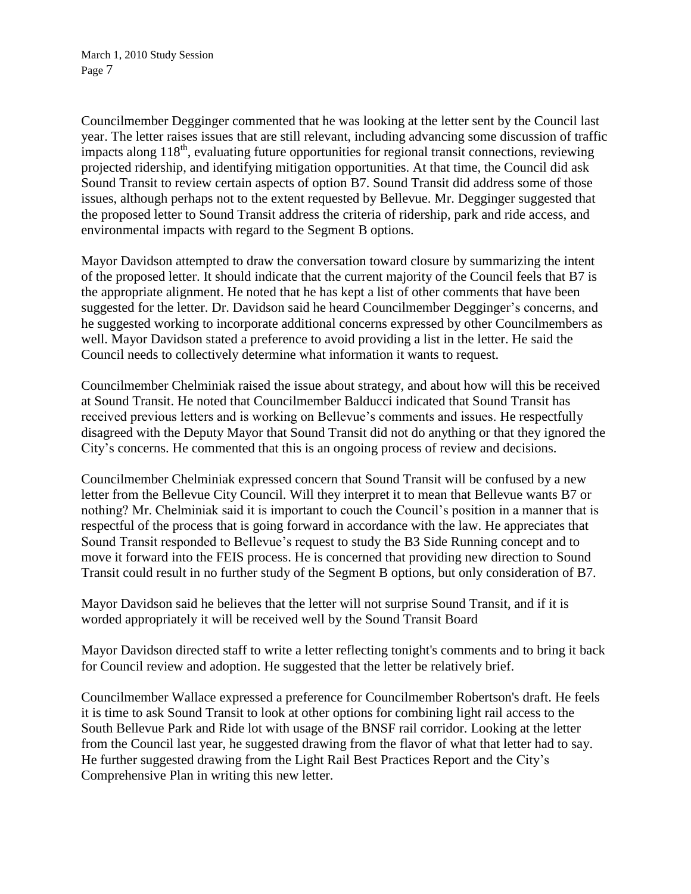Councilmember Degginger commented that he was looking at the letter sent by the Council last year. The letter raises issues that are still relevant, including advancing some discussion of traffic impacts along  $118<sup>th</sup>$ , evaluating future opportunities for regional transit connections, reviewing projected ridership, and identifying mitigation opportunities. At that time, the Council did ask Sound Transit to review certain aspects of option B7. Sound Transit did address some of those issues, although perhaps not to the extent requested by Bellevue. Mr. Degginger suggested that the proposed letter to Sound Transit address the criteria of ridership, park and ride access, and environmental impacts with regard to the Segment B options.

Mayor Davidson attempted to draw the conversation toward closure by summarizing the intent of the proposed letter. It should indicate that the current majority of the Council feels that B7 is the appropriate alignment. He noted that he has kept a list of other comments that have been suggested for the letter. Dr. Davidson said he heard Councilmember Degginger's concerns, and he suggested working to incorporate additional concerns expressed by other Councilmembers as well. Mayor Davidson stated a preference to avoid providing a list in the letter. He said the Council needs to collectively determine what information it wants to request.

Councilmember Chelminiak raised the issue about strategy, and about how will this be received at Sound Transit. He noted that Councilmember Balducci indicated that Sound Transit has received previous letters and is working on Bellevue's comments and issues. He respectfully disagreed with the Deputy Mayor that Sound Transit did not do anything or that they ignored the City's concerns. He commented that this is an ongoing process of review and decisions.

Councilmember Chelminiak expressed concern that Sound Transit will be confused by a new letter from the Bellevue City Council. Will they interpret it to mean that Bellevue wants B7 or nothing? Mr. Chelminiak said it is important to couch the Council's position in a manner that is respectful of the process that is going forward in accordance with the law. He appreciates that Sound Transit responded to Bellevue's request to study the B3 Side Running concept and to move it forward into the FEIS process. He is concerned that providing new direction to Sound Transit could result in no further study of the Segment B options, but only consideration of B7.

Mayor Davidson said he believes that the letter will not surprise Sound Transit, and if it is worded appropriately it will be received well by the Sound Transit Board

Mayor Davidson directed staff to write a letter reflecting tonight's comments and to bring it back for Council review and adoption. He suggested that the letter be relatively brief.

Councilmember Wallace expressed a preference for Councilmember Robertson's draft. He feels it is time to ask Sound Transit to look at other options for combining light rail access to the South Bellevue Park and Ride lot with usage of the BNSF rail corridor. Looking at the letter from the Council last year, he suggested drawing from the flavor of what that letter had to say. He further suggested drawing from the Light Rail Best Practices Report and the City's Comprehensive Plan in writing this new letter.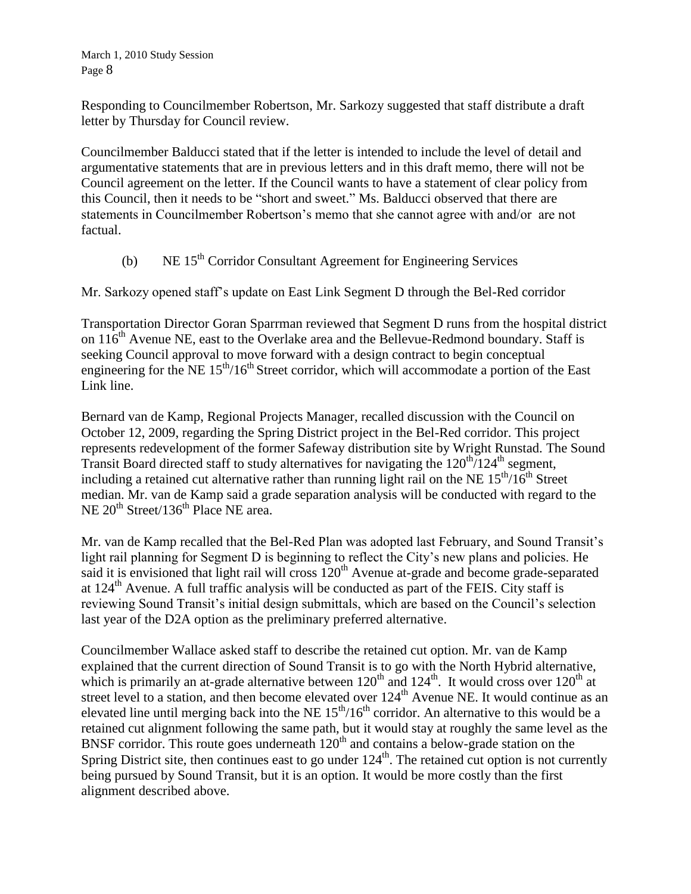Responding to Councilmember Robertson, Mr. Sarkozy suggested that staff distribute a draft letter by Thursday for Council review.

Councilmember Balducci stated that if the letter is intended to include the level of detail and argumentative statements that are in previous letters and in this draft memo, there will not be Council agreement on the letter. If the Council wants to have a statement of clear policy from this Council, then it needs to be "short and sweet." Ms. Balducci observed that there are statements in Councilmember Robertson's memo that she cannot agree with and/or are not factual.

(b) NE 15th Corridor Consultant Agreement for Engineering Services

Mr. Sarkozy opened staff's update on East Link Segment D through the Bel-Red corridor

Transportation Director Goran Sparrman reviewed that Segment D runs from the hospital district on  $116<sup>th</sup>$  Avenue NE, east to the Overlake area and the Bellevue-Redmond boundary. Staff is seeking Council approval to move forward with a design contract to begin conceptual engineering for the NE  $15<sup>th</sup>/16<sup>th</sup>$  Street corridor, which will accommodate a portion of the East Link line.

Bernard van de Kamp, Regional Projects Manager, recalled discussion with the Council on October 12, 2009, regarding the Spring District project in the Bel-Red corridor. This project represents redevelopment of the former Safeway distribution site by Wright Runstad. The Sound Transit Board directed staff to study alternatives for navigating the  $120<sup>th</sup>/124<sup>th</sup>$  segment, including a retained cut alternative rather than running light rail on the NE  $15<sup>th</sup>/16<sup>th</sup>$  Street median. Mr. van de Kamp said a grade separation analysis will be conducted with regard to the NE 20<sup>th</sup> Street/136<sup>th</sup> Place NE area.

Mr. van de Kamp recalled that the Bel-Red Plan was adopted last February, and Sound Transit's light rail planning for Segment D is beginning to reflect the City's new plans and policies. He said it is envisioned that light rail will cross 120<sup>th</sup> Avenue at-grade and become grade-separated at 124<sup>th</sup> Avenue. A full traffic analysis will be conducted as part of the FEIS. City staff is reviewing Sound Transit's initial design submittals, which are based on the Council's selection last year of the D2A option as the preliminary preferred alternative.

Councilmember Wallace asked staff to describe the retained cut option. Mr. van de Kamp explained that the current direction of Sound Transit is to go with the North Hybrid alternative, which is primarily an at-grade alternative between  $120^{th}$  and  $124^{th}$ . It would cross over  $120^{th}$  at street level to a station, and then become elevated over  $124<sup>th</sup>$  Avenue NE. It would continue as an elevated line until merging back into the NE  $15<sup>th</sup>/16<sup>th</sup>$  corridor. An alternative to this would be a retained cut alignment following the same path, but it would stay at roughly the same level as the BNSF corridor. This route goes underneath 120<sup>th</sup> and contains a below-grade station on the Spring District site, then continues east to go under  $124<sup>th</sup>$ . The retained cut option is not currently being pursued by Sound Transit, but it is an option. It would be more costly than the first alignment described above.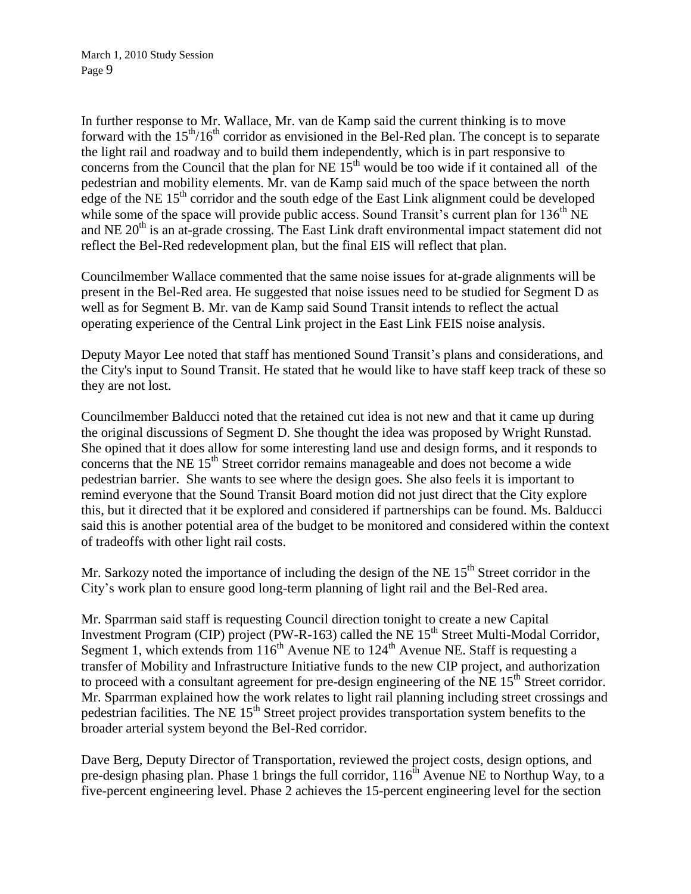In further response to Mr. Wallace, Mr. van de Kamp said the current thinking is to move forward with the  $15<sup>th</sup>/16<sup>th</sup>$  corridor as envisioned in the Bel-Red plan. The concept is to separate the light rail and roadway and to build them independently, which is in part responsive to concerns from the Council that the plan for NE  $15<sup>th</sup>$  would be too wide if it contained all of the pedestrian and mobility elements. Mr. van de Kamp said much of the space between the north edge of the NE  $15<sup>th</sup>$  corridor and the south edge of the East Link alignment could be developed while some of the space will provide public access. Sound Transit's current plan for  $136<sup>th</sup> NE$ and NE  $20<sup>th</sup>$  is an at-grade crossing. The East Link draft environmental impact statement did not reflect the Bel-Red redevelopment plan, but the final EIS will reflect that plan.

Councilmember Wallace commented that the same noise issues for at-grade alignments will be present in the Bel-Red area. He suggested that noise issues need to be studied for Segment D as well as for Segment B. Mr. van de Kamp said Sound Transit intends to reflect the actual operating experience of the Central Link project in the East Link FEIS noise analysis.

Deputy Mayor Lee noted that staff has mentioned Sound Transit's plans and considerations, and the City's input to Sound Transit. He stated that he would like to have staff keep track of these so they are not lost.

Councilmember Balducci noted that the retained cut idea is not new and that it came up during the original discussions of Segment D. She thought the idea was proposed by Wright Runstad. She opined that it does allow for some interesting land use and design forms, and it responds to concerns that the NE 15<sup>th</sup> Street corridor remains manageable and does not become a wide pedestrian barrier. She wants to see where the design goes. She also feels it is important to remind everyone that the Sound Transit Board motion did not just direct that the City explore this, but it directed that it be explored and considered if partnerships can be found. Ms. Balducci said this is another potential area of the budget to be monitored and considered within the context of tradeoffs with other light rail costs.

Mr. Sarkozy noted the importance of including the design of the NE  $15<sup>th</sup>$  Street corridor in the City's work plan to ensure good long-term planning of light rail and the Bel-Red area.

Mr. Sparrman said staff is requesting Council direction tonight to create a new Capital Investment Program (CIP) project (PW-R-163) called the NE  $15<sup>th</sup>$  Street Multi-Modal Corridor. Segment 1, which extends from  $116^{th}$  Avenue NE to  $124^{th}$  Avenue NE. Staff is requesting a transfer of Mobility and Infrastructure Initiative funds to the new CIP project, and authorization to proceed with a consultant agreement for pre-design engineering of the NE  $15<sup>th</sup>$  Street corridor. Mr. Sparrman explained how the work relates to light rail planning including street crossings and pedestrian facilities. The NE 15<sup>th</sup> Street project provides transportation system benefits to the broader arterial system beyond the Bel-Red corridor.

Dave Berg, Deputy Director of Transportation, reviewed the project costs, design options, and pre-design phasing plan. Phase 1 brings the full corridor,  $116^{th}$  Avenue NE to Northup Way, to a five-percent engineering level. Phase 2 achieves the 15-percent engineering level for the section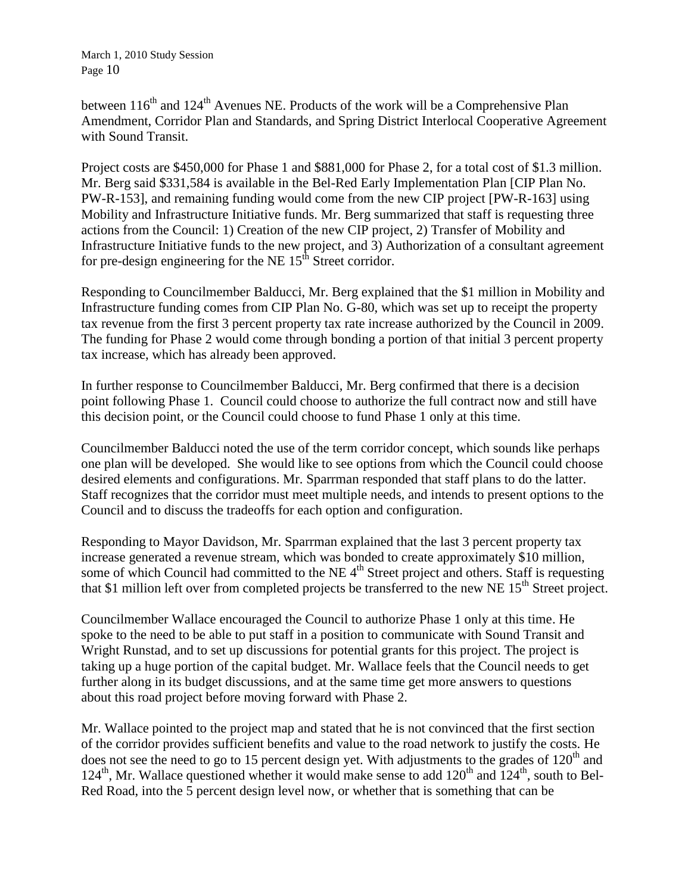between  $116<sup>th</sup>$  and  $124<sup>th</sup>$  Avenues NE. Products of the work will be a Comprehensive Plan Amendment, Corridor Plan and Standards, and Spring District Interlocal Cooperative Agreement with Sound Transit.

Project costs are \$450,000 for Phase 1 and \$881,000 for Phase 2, for a total cost of \$1.3 million. Mr. Berg said \$331,584 is available in the Bel-Red Early Implementation Plan [CIP Plan No. PW-R-153], and remaining funding would come from the new CIP project [PW-R-163] using Mobility and Infrastructure Initiative funds. Mr. Berg summarized that staff is requesting three actions from the Council: 1) Creation of the new CIP project, 2) Transfer of Mobility and Infrastructure Initiative funds to the new project, and 3) Authorization of a consultant agreement for pre-design engineering for the NE  $15<sup>th</sup>$  Street corridor.

Responding to Councilmember Balducci, Mr. Berg explained that the \$1 million in Mobility and Infrastructure funding comes from CIP Plan No. G-80, which was set up to receipt the property tax revenue from the first 3 percent property tax rate increase authorized by the Council in 2009. The funding for Phase 2 would come through bonding a portion of that initial 3 percent property tax increase, which has already been approved.

In further response to Councilmember Balducci, Mr. Berg confirmed that there is a decision point following Phase 1. Council could choose to authorize the full contract now and still have this decision point, or the Council could choose to fund Phase 1 only at this time.

Councilmember Balducci noted the use of the term corridor concept, which sounds like perhaps one plan will be developed. She would like to see options from which the Council could choose desired elements and configurations. Mr. Sparrman responded that staff plans to do the latter. Staff recognizes that the corridor must meet multiple needs, and intends to present options to the Council and to discuss the tradeoffs for each option and configuration.

Responding to Mayor Davidson, Mr. Sparrman explained that the last 3 percent property tax increase generated a revenue stream, which was bonded to create approximately \$10 million, some of which Council had committed to the NE  $4<sup>th</sup>$  Street project and others. Staff is requesting that \$1 million left over from completed projects be transferred to the new NE 15<sup>th</sup> Street project.

Councilmember Wallace encouraged the Council to authorize Phase 1 only at this time. He spoke to the need to be able to put staff in a position to communicate with Sound Transit and Wright Runstad, and to set up discussions for potential grants for this project. The project is taking up a huge portion of the capital budget. Mr. Wallace feels that the Council needs to get further along in its budget discussions, and at the same time get more answers to questions about this road project before moving forward with Phase 2.

Mr. Wallace pointed to the project map and stated that he is not convinced that the first section of the corridor provides sufficient benefits and value to the road network to justify the costs. He does not see the need to go to 15 percent design yet. With adjustments to the grades of  $120<sup>th</sup>$  and 124<sup>th</sup>, Mr. Wallace questioned whether it would make sense to add 120<sup>th</sup> and 124<sup>th</sup>, south to Bel-Red Road, into the 5 percent design level now, or whether that is something that can be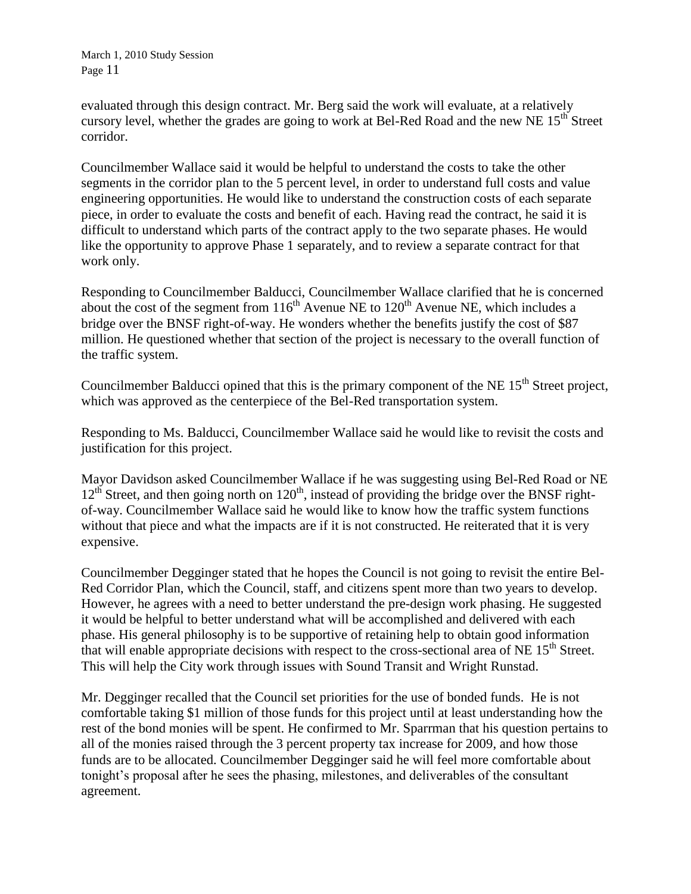evaluated through this design contract. Mr. Berg said the work will evaluate, at a relatively cursory level, whether the grades are going to work at Bel-Red Road and the new NE  $15<sup>th</sup>$  Street corridor.

Councilmember Wallace said it would be helpful to understand the costs to take the other segments in the corridor plan to the 5 percent level, in order to understand full costs and value engineering opportunities. He would like to understand the construction costs of each separate piece, in order to evaluate the costs and benefit of each. Having read the contract, he said it is difficult to understand which parts of the contract apply to the two separate phases. He would like the opportunity to approve Phase 1 separately, and to review a separate contract for that work only.

Responding to Councilmember Balducci, Councilmember Wallace clarified that he is concerned about the cost of the segment from  $116<sup>th</sup>$  Avenue NE to  $120<sup>th</sup>$  Avenue NE, which includes a bridge over the BNSF right-of-way. He wonders whether the benefits justify the cost of \$87 million. He questioned whether that section of the project is necessary to the overall function of the traffic system.

Councilmember Balducci opined that this is the primary component of the NE  $15<sup>th</sup>$  Street project, which was approved as the centerpiece of the Bel-Red transportation system.

Responding to Ms. Balducci, Councilmember Wallace said he would like to revisit the costs and justification for this project.

Mayor Davidson asked Councilmember Wallace if he was suggesting using Bel-Red Road or NE 12<sup>th</sup> Street, and then going north on 120<sup>th</sup>, instead of providing the bridge over the BNSF rightof-way. Councilmember Wallace said he would like to know how the traffic system functions without that piece and what the impacts are if it is not constructed. He reiterated that it is very expensive.

Councilmember Degginger stated that he hopes the Council is not going to revisit the entire Bel-Red Corridor Plan, which the Council, staff, and citizens spent more than two years to develop. However, he agrees with a need to better understand the pre-design work phasing. He suggested it would be helpful to better understand what will be accomplished and delivered with each phase. His general philosophy is to be supportive of retaining help to obtain good information that will enable appropriate decisions with respect to the cross-sectional area of NE 15<sup>th</sup> Street. This will help the City work through issues with Sound Transit and Wright Runstad.

Mr. Degginger recalled that the Council set priorities for the use of bonded funds. He is not comfortable taking \$1 million of those funds for this project until at least understanding how the rest of the bond monies will be spent. He confirmed to Mr. Sparrman that his question pertains to all of the monies raised through the 3 percent property tax increase for 2009, and how those funds are to be allocated. Councilmember Degginger said he will feel more comfortable about tonight's proposal after he sees the phasing, milestones, and deliverables of the consultant agreement.